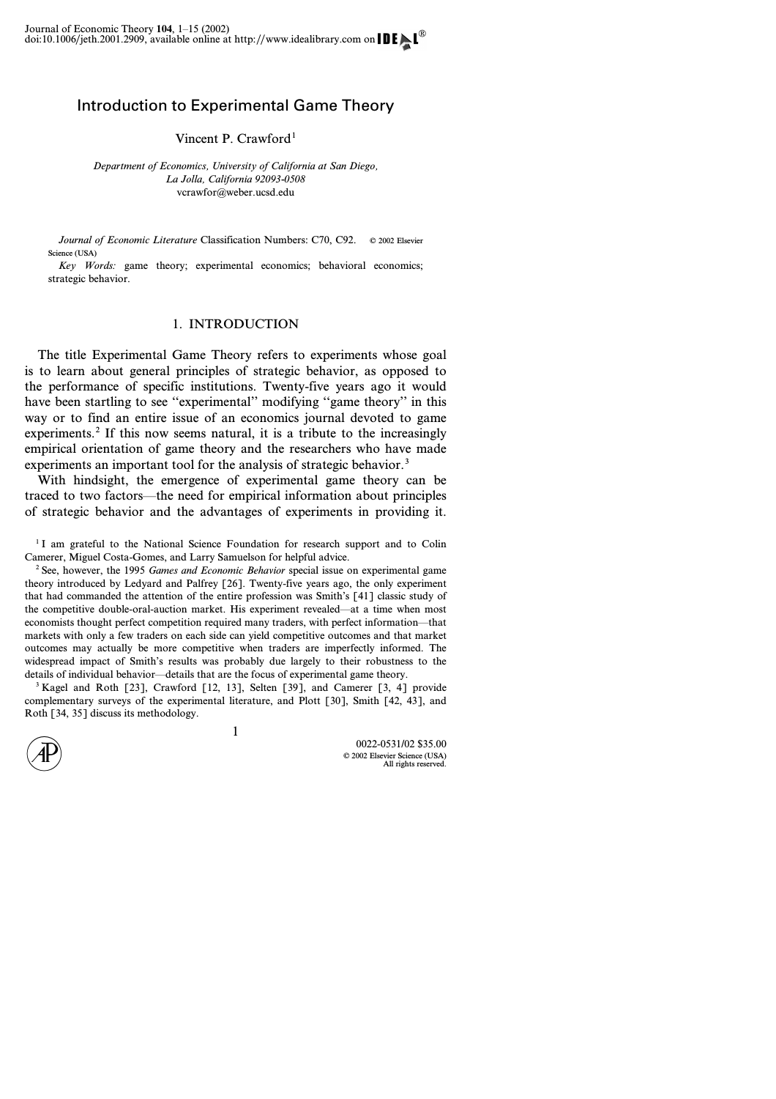## Introduction to Experimental Game Theory

Vincent P. Crawford<sup>1</sup>

*Department of Economics, University of California at San Diego, La Jolla, California 92093-0508* vcrawfor@weber.ucsd.edu

*Journal of Economic Literature* Classification Numbers: C70, C92. © 2002 Elsevier Science (USA)

*Key Words:* game theory; experimental economics; behavioral economics; strategic behavior.

## 1. INTRODUCTION

The title Experimental Game Theory refers to experiments whose goal is to learn about general principles of strategic behavior, as opposed to the performance of specific institutions. Twenty-five years ago it would have been startling to see "experimental" modifying "game theory" in this way or to find an entire issue of an economics journal devoted to game experiments.<sup>2</sup> If this now seems natural, it is a tribute to the increasingly empirical orientation of game theory and the researchers who have made experiments an important tool for the analysis of strategic behavior.<sup>3</sup>

With hindsight, the emergence of experimental game theory can be traced to two factors—the need for empirical information about principles of strategic behavior and the advantages of experiments in providing it.

<sup>1</sup>I am grateful to the National Science Foundation for research support and to Colin Camerer, Miguel Costa-Gomes, and Larry Samuelson for helpful advice.

<sup>2</sup> See, however, the 1995 *Games and Economic Behavior* special issue on experimental game theory introduced by Ledyard and Palfrey [26]. Twenty-five years ago, the only experiment that had commanded the attention of the entire profession was Smith's [41] classic study of the competitive double-oral-auction market. His experiment revealed—at a time when most economists thought perfect competition required many traders, with perfect information—that markets with only a few traders on each side can yield competitive outcomes and that market outcomes may actually be more competitive when traders are imperfectly informed. The widespread impact of Smith's results was probably due largely to their robustness to the details of individual behavior—details that are the focus of experimental game theory.

<sup>3</sup> Kagel and Roth [23], Crawford [12, 13], Selten [39], and Camerer [3, 4] provide complementary surveys of the experimental literature, and Plott [30], Smith [42, 43], and Roth [34, 35] discuss its methodology.

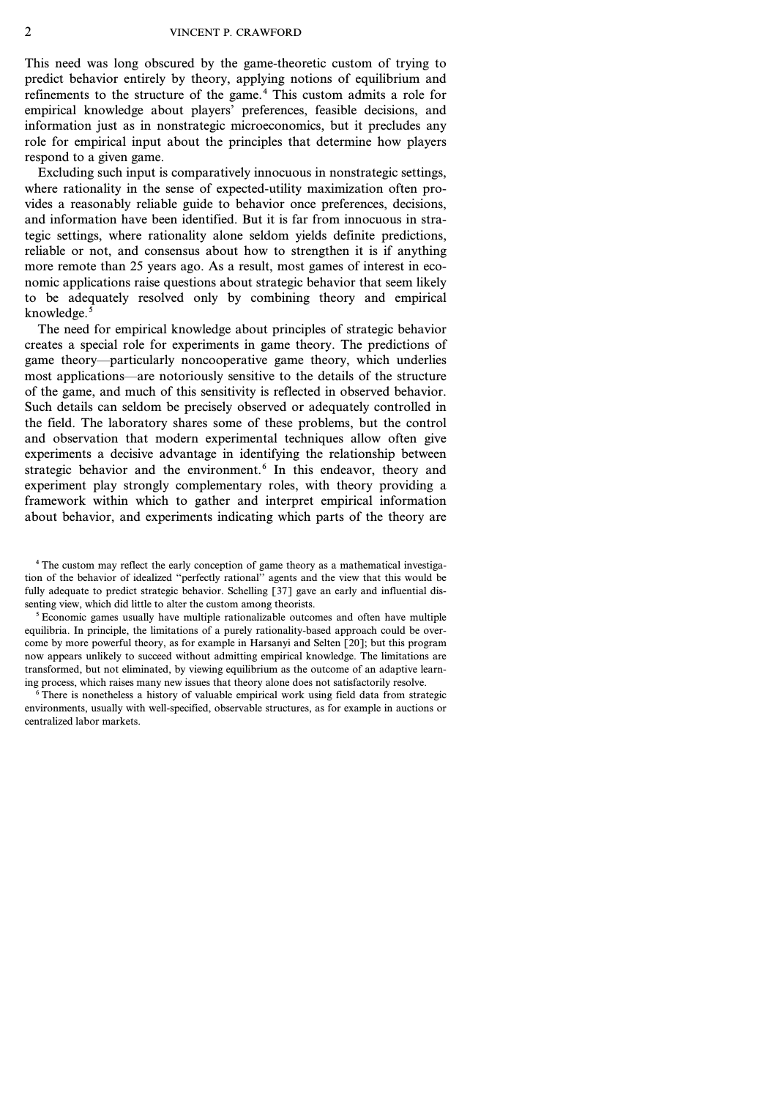This need was long obscured by the game-theoretic custom of trying to predict behavior entirely by theory, applying notions of equilibrium and refinements to the structure of the game.<sup>4</sup> This custom admits a role for empirical knowledge about players' preferences, feasible decisions, and information just as in nonstrategic microeconomics, but it precludes any role for empirical input about the principles that determine how players respond to a given game.

Excluding such input is comparatively innocuous in nonstrategic settings, where rationality in the sense of expected-utility maximization often provides a reasonably reliable guide to behavior once preferences, decisions, and information have been identified. But it is far from innocuous in strategic settings, where rationality alone seldom yields definite predictions, reliable or not, and consensus about how to strengthen it is if anything more remote than 25 years ago. As a result, most games of interest in economic applications raise questions about strategic behavior that seem likely to be adequately resolved only by combining theory and empirical knowledge. $5$ 

The need for empirical knowledge about principles of strategic behavior creates a special role for experiments in game theory. The predictions of game theory—particularly noncooperative game theory, which underlies most applications—are notoriously sensitive to the details of the structure of the game, and much of this sensitivity is reflected in observed behavior. Such details can seldom be precisely observed or adequately controlled in the field. The laboratory shares some of these problems, but the control and observation that modern experimental techniques allow often give experiments a decisive advantage in identifying the relationship between strategic behavior and the environment.<sup>6</sup> In this endeavor, theory and experiment play strongly complementary roles, with theory providing a framework within which to gather and interpret empirical information about behavior, and experiments indicating which parts of the theory are

<sup>4</sup> The custom may reflect the early conception of game theory as a mathematical investigation of the behavior of idealized ''perfectly rational'' agents and the view that this would be fully adequate to predict strategic behavior. Schelling [37] gave an early and influential dissenting view, which did little to alter the custom among theorists.

<sup>5</sup> Economic games usually have multiple rationalizable outcomes and often have multiple equilibria. In principle, the limitations of a purely rationality-based approach could be overcome by more powerful theory, as for example in Harsanyi and Selten [20]; but this program now appears unlikely to succeed without admitting empirical knowledge. The limitations are transformed, but not eliminated, by viewing equilibrium as the outcome of an adaptive learning process, which raises many new issues that theory alone does not satisfactorily resolve.

<sup>6</sup> There is nonetheless a history of valuable empirical work using field data from strategic environments, usually with well-specified, observable structures, as for example in auctions or centralized labor markets.